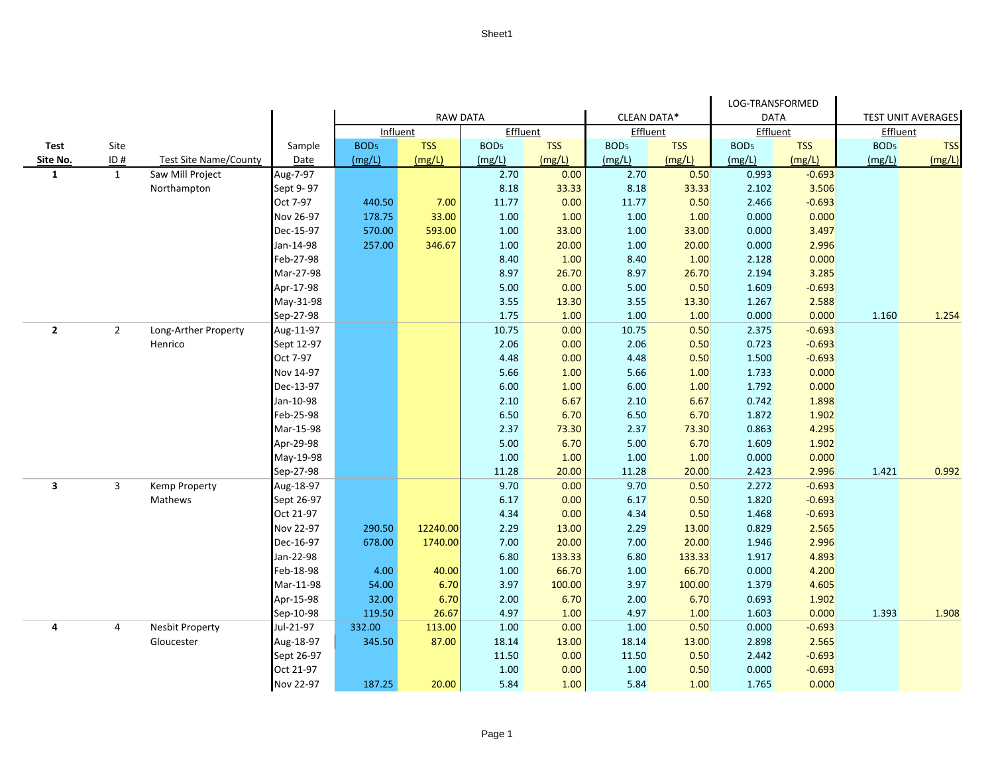|                         |                |                              |                        |                  |                 |                  |                 |                  |                 | LOG-TRANSFORMED  |                |                           |            |
|-------------------------|----------------|------------------------------|------------------------|------------------|-----------------|------------------|-----------------|------------------|-----------------|------------------|----------------|---------------------------|------------|
|                         |                |                              |                        | <b>RAW DATA</b>  |                 |                  |                 | CLEAN DATA*      |                 | <b>DATA</b>      |                | <b>TEST UNIT AVERAGES</b> |            |
|                         |                |                              |                        | Influent         |                 | Effluent         |                 | Effluent         |                 | Effluent         |                | Effluent                  |            |
| Test                    | Site           |                              | Sample                 | BOD <sub>5</sub> | <b>TSS</b>      | BOD <sub>5</sub> | <b>TSS</b>      | BOD <sub>5</sub> | <b>TSS</b>      | BOD <sub>5</sub> | <b>TSS</b>     | BOD <sub>5</sub>          | <b>TSS</b> |
| Site No.                | ID#            | <b>Test Site Name/County</b> | Date                   | (mg/L)           | (mg/L)          | (mg/L)           | (mg/L)          | (mg/L)           | (mg/L)          | (mg/L)           | (mg/L)         | (mg/L)                    | (mg/L)     |
| $\mathbf{1}$            | $\mathbf{1}$   | Saw Mill Project             | Aug-7-97               |                  |                 | 2.70             | 0.00            | 2.70             | 0.50            | 0.993            | $-0.693$       |                           |            |
|                         |                | Northampton                  | Sept 9-97              |                  |                 | 8.18             | 33.33           | 8.18             | 33.33           | 2.102            | 3.506          |                           |            |
|                         |                |                              | Oct 7-97               | 440.50           | 7.00            | 11.77            | 0.00            | 11.77            | 0.50            | 2.466            | $-0.693$       |                           |            |
|                         |                |                              | Nov 26-97              | 178.75           | 33.00           | 1.00             | 1.00            | 1.00             | 1.00            | 0.000            | 0.000          |                           |            |
|                         |                |                              | Dec-15-97              | 570.00           | 593.00          | 1.00             | 33.00           | 1.00             | 33.00           | 0.000            | 3.497          |                           |            |
|                         |                |                              | Jan-14-98              | 257.00           | 346.67          | 1.00             | 20.00           | 1.00             | 20.00           | 0.000            | 2.996          |                           |            |
|                         |                |                              | Feb-27-98              |                  |                 | 8.40             | 1.00            | 8.40             | 1.00            | 2.128            | 0.000          |                           |            |
|                         |                |                              | Mar-27-98              |                  |                 | 8.97             | 26.70           | 8.97             | 26.70           | 2.194            | 3.285          |                           |            |
|                         |                |                              | Apr-17-98              |                  |                 | 5.00             | 0.00            | 5.00             | 0.50            | 1.609            | $-0.693$       |                           |            |
|                         |                |                              | May-31-98              |                  |                 | 3.55             | 13.30           | 3.55             | 13.30           | 1.267            | 2.588          |                           |            |
|                         |                |                              | Sep-27-98              |                  |                 | 1.75             | 1.00            | 1.00             | 1.00            | 0.000            | 0.000          | 1.160                     | 1.254      |
| $\overline{2}$          | $\overline{2}$ | Long-Arther Property         | Aug-11-97              |                  |                 | 10.75            | 0.00            | 10.75            | 0.50            | 2.375            | $-0.693$       |                           |            |
|                         |                | Henrico                      | Sept 12-97             |                  |                 | 2.06             | 0.00            | 2.06             | 0.50            | 0.723            | $-0.693$       |                           |            |
|                         |                |                              | Oct 7-97               |                  |                 | 4.48             | 0.00            | 4.48             | 0.50            | 1.500            | $-0.693$       |                           |            |
|                         |                |                              | Nov 14-97              |                  |                 | 5.66             | 1.00            | 5.66             | 1.00            | 1.733            | 0.000          |                           |            |
|                         |                |                              | Dec-13-97              |                  |                 | 6.00             | 1.00            | 6.00             | 1.00            | 1.792            | 0.000          |                           |            |
|                         |                |                              | Jan-10-98              |                  |                 | 2.10             | 6.67            | 2.10             | 6.67            | 0.742            | 1.898          |                           |            |
|                         |                |                              | Feb-25-98              |                  |                 | 6.50             | 6.70            | 6.50             | 6.70            | 1.872            | 1.902          |                           |            |
|                         |                |                              | Mar-15-98              |                  |                 | 2.37             | 73.30           | 2.37             | 73.30           | 0.863            | 4.295          |                           |            |
|                         |                |                              | Apr-29-98              |                  |                 | 5.00             | 6.70            | 5.00             | 6.70            | 1.609            | 1.902          |                           |            |
|                         |                |                              | May-19-98              |                  |                 | 1.00             | 1.00            | 1.00             | 1.00            | 0.000            | 0.000          |                           |            |
|                         |                |                              | Sep-27-98              |                  |                 | 11.28            | 20.00           | 11.28            | 20.00           | 2.423            | 2.996          | 1.421                     | 0.992      |
| $\overline{\mathbf{3}}$ | $\overline{3}$ | Kemp Property                | Aug-18-97              |                  |                 | 9.70             | 0.00            | 9.70             | 0.50            | 2.272            | $-0.693$       |                           |            |
|                         |                | Mathews                      | Sept 26-97             |                  |                 | 6.17             | 0.00            | 6.17             | 0.50            | 1.820            | $-0.693$       |                           |            |
|                         |                |                              | Oct 21-97              |                  |                 | 4.34             | 0.00            | 4.34             | 0.50            | 1.468            | $-0.693$       |                           |            |
|                         |                |                              | Nov 22-97              | 290.50           | 12240.00        | 2.29             | 13.00           | 2.29             | 13.00           | 0.829            | 2.565          |                           |            |
|                         |                |                              | Dec-16-97<br>Jan-22-98 | 678.00           | 1740.00         | 7.00             | 20.00           | 7.00             | 20.00           | 1.946            | 2.996          |                           |            |
|                         |                |                              |                        |                  |                 | 6.80             | 133.33          | 6.80             | 133.33          | 1.917            | 4.893          |                           |            |
|                         |                |                              | Feb-18-98<br>Mar-11-98 | 4.00<br>54.00    | 40.00<br>6.70   | 1.00<br>3.97     | 66.70<br>100.00 | 1.00<br>3.97     | 66.70<br>100.00 | 0.000<br>1.379   | 4.200<br>4.605 |                           |            |
|                         |                |                              | Apr-15-98              | 32.00            | 6.70            | 2.00             | 6.70            | 2.00             | 6.70            | 0.693            | 1.902          |                           |            |
|                         |                |                              |                        |                  |                 |                  |                 | 4.97             |                 |                  | 0.000          |                           | 1.908      |
| 4                       | $\overline{4}$ | <b>Nesbit Property</b>       | Sep-10-98<br>Jul-21-97 | 119.50<br>332.00 | 26.67<br>113.00 | 4.97<br>1.00     | 1.00<br>0.00    | 1.00             | 1.00<br>0.50    | 1.603<br>0.000   | $-0.693$       | 1.393                     |            |
|                         |                | Gloucester                   | Aug-18-97              | 345.50           | 87.00           | 18.14            | 13.00           | 18.14            | 13.00           | 2.898            | 2.565          |                           |            |
|                         |                |                              | Sept 26-97             |                  |                 | 11.50            | 0.00            | 11.50            | 0.50            | 2.442            | $-0.693$       |                           |            |
|                         |                |                              | Oct 21-97              |                  |                 | 1.00             | 0.00            | 1.00             | 0.50            | 0.000            | $-0.693$       |                           |            |
|                         |                |                              | Nov 22-97              | 187.25           | 20.00           | 5.84             | 1.00            | 5.84             | 1.00            | 1.765            | 0.000          |                           |            |
|                         |                |                              |                        |                  |                 |                  |                 |                  |                 |                  |                |                           |            |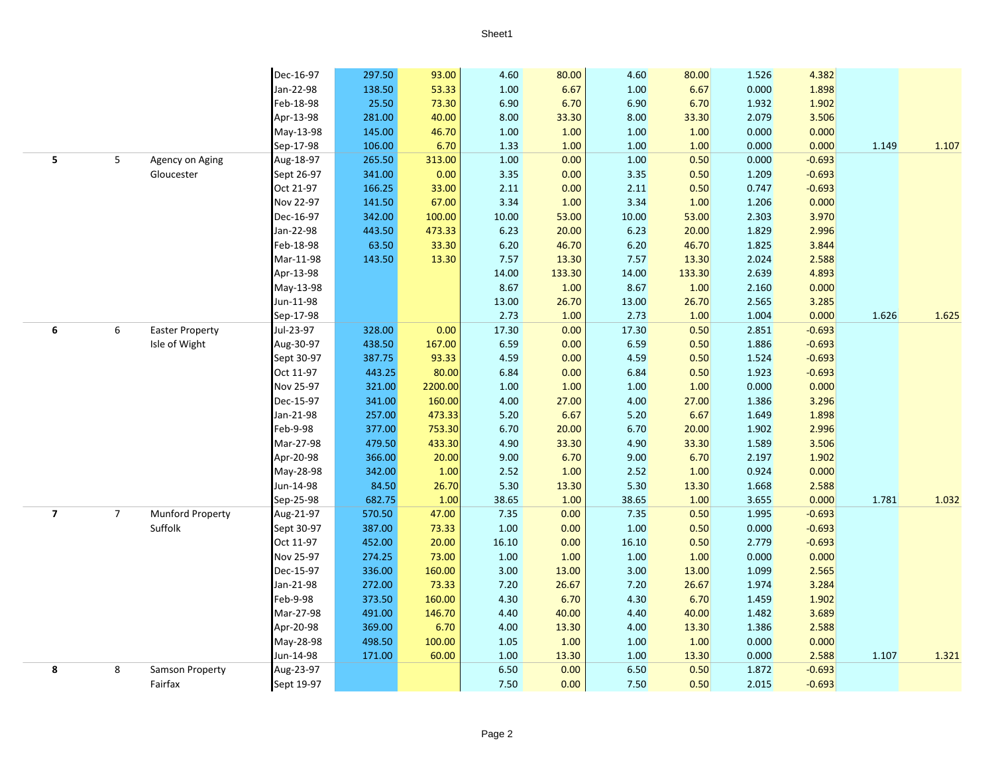|                         |                |                         | Dec-16-97  | 297.50 | 93.00   | 4.60     | 80.00  | 4.60  | 80.00  | 1.526 | 4.382    |       |       |
|-------------------------|----------------|-------------------------|------------|--------|---------|----------|--------|-------|--------|-------|----------|-------|-------|
|                         |                |                         | Jan-22-98  | 138.50 | 53.33   | $1.00\,$ | 6.67   | 1.00  | 6.67   | 0.000 | 1.898    |       |       |
|                         |                |                         | Feb-18-98  | 25.50  | 73.30   | 6.90     | 6.70   | 6.90  | 6.70   | 1.932 | 1.902    |       |       |
|                         |                |                         | Apr-13-98  | 281.00 | 40.00   | 8.00     | 33.30  | 8.00  | 33.30  | 2.079 | 3.506    |       |       |
|                         |                |                         | May-13-98  | 145.00 | 46.70   | 1.00     | 1.00   | 1.00  | 1.00   | 0.000 | 0.000    |       |       |
|                         |                |                         | Sep-17-98  | 106.00 | 6.70    | 1.33     | 1.00   | 1.00  | 1.00   | 0.000 | 0.000    | 1.149 | 1.107 |
| 5                       | 5              | Agency on Aging         | Aug-18-97  | 265.50 | 313.00  | 1.00     | 0.00   | 1.00  | 0.50   | 0.000 | $-0.693$ |       |       |
|                         |                | Gloucester              | Sept 26-97 | 341.00 | 0.00    | 3.35     | 0.00   | 3.35  | 0.50   | 1.209 | $-0.693$ |       |       |
|                         |                |                         | Oct 21-97  | 166.25 | 33.00   | 2.11     | 0.00   | 2.11  | 0.50   | 0.747 | $-0.693$ |       |       |
|                         |                |                         | Nov 22-97  | 141.50 | 67.00   | 3.34     | 1.00   | 3.34  | 1.00   | 1.206 | 0.000    |       |       |
|                         |                |                         | Dec-16-97  | 342.00 | 100.00  | 10.00    | 53.00  | 10.00 | 53.00  | 2.303 | 3.970    |       |       |
|                         |                |                         | Jan-22-98  | 443.50 | 473.33  | 6.23     | 20.00  | 6.23  | 20.00  | 1.829 | 2.996    |       |       |
|                         |                |                         | Feb-18-98  | 63.50  | 33.30   | 6.20     | 46.70  | 6.20  | 46.70  | 1.825 | 3.844    |       |       |
|                         |                |                         | Mar-11-98  | 143.50 | 13.30   | 7.57     | 13.30  | 7.57  | 13.30  | 2.024 | 2.588    |       |       |
|                         |                |                         | Apr-13-98  |        |         | 14.00    | 133.30 | 14.00 | 133.30 | 2.639 | 4.893    |       |       |
|                         |                |                         | May-13-98  |        |         | 8.67     | 1.00   | 8.67  | 1.00   | 2.160 | 0.000    |       |       |
|                         |                |                         | Jun-11-98  |        |         | 13.00    | 26.70  | 13.00 | 26.70  | 2.565 | 3.285    |       |       |
|                         |                |                         | Sep-17-98  |        |         | 2.73     | 1.00   | 2.73  | 1.00   | 1.004 | 0.000    | 1.626 | 1.625 |
| 6                       | 6              | <b>Easter Property</b>  | Jul-23-97  | 328.00 | 0.00    | 17.30    | 0.00   | 17.30 | 0.50   | 2.851 | $-0.693$ |       |       |
|                         |                | Isle of Wight           | Aug-30-97  | 438.50 | 167.00  | 6.59     | 0.00   | 6.59  | 0.50   | 1.886 | $-0.693$ |       |       |
|                         |                |                         | Sept 30-97 | 387.75 | 93.33   | 4.59     | 0.00   | 4.59  | 0.50   | 1.524 | $-0.693$ |       |       |
|                         |                |                         | Oct 11-97  | 443.25 | 80.00   | 6.84     | 0.00   | 6.84  | 0.50   | 1.923 | $-0.693$ |       |       |
|                         |                |                         | Nov 25-97  | 321.00 | 2200.00 | 1.00     | 1.00   | 1.00  | 1.00   | 0.000 | 0.000    |       |       |
|                         |                |                         | Dec-15-97  | 341.00 | 160.00  | 4.00     | 27.00  | 4.00  | 27.00  | 1.386 | 3.296    |       |       |
|                         |                |                         | Jan-21-98  | 257.00 | 473.33  | 5.20     | 6.67   | 5.20  | 6.67   | 1.649 | 1.898    |       |       |
|                         |                |                         | Feb-9-98   | 377.00 | 753.30  | 6.70     | 20.00  | 6.70  | 20.00  | 1.902 | 2.996    |       |       |
|                         |                |                         | Mar-27-98  | 479.50 | 433.30  | 4.90     | 33.30  | 4.90  | 33.30  | 1.589 | 3.506    |       |       |
|                         |                |                         | Apr-20-98  | 366.00 | 20.00   | 9.00     | 6.70   | 9.00  | 6.70   | 2.197 | 1.902    |       |       |
|                         |                |                         | May-28-98  | 342.00 | 1.00    | 2.52     | 1.00   | 2.52  | 1.00   | 0.924 | 0.000    |       |       |
|                         |                |                         | Jun-14-98  | 84.50  | 26.70   | 5.30     | 13.30  | 5.30  | 13.30  | 1.668 | 2.588    |       |       |
|                         |                |                         | Sep-25-98  | 682.75 | 1.00    | 38.65    | 1.00   | 38.65 | 1.00   | 3.655 | 0.000    | 1.781 | 1.032 |
| $\overline{\mathbf{z}}$ | $\overline{7}$ | <b>Munford Property</b> | Aug-21-97  | 570.50 | 47.00   | 7.35     | 0.00   | 7.35  | 0.50   | 1.995 | $-0.693$ |       |       |
|                         |                | Suffolk                 | Sept 30-97 | 387.00 | 73.33   | 1.00     | 0.00   | 1.00  | 0.50   | 0.000 | $-0.693$ |       |       |
|                         |                |                         | Oct 11-97  | 452.00 | 20.00   | 16.10    | 0.00   | 16.10 | 0.50   | 2.779 | $-0.693$ |       |       |
|                         |                |                         | Nov 25-97  | 274.25 | 73.00   | 1.00     | 1.00   | 1.00  | 1.00   | 0.000 | 0.000    |       |       |
|                         |                |                         | Dec-15-97  | 336.00 | 160.00  | 3.00     | 13.00  | 3.00  | 13.00  | 1.099 | 2.565    |       |       |
|                         |                |                         | Jan-21-98  | 272.00 | 73.33   | 7.20     | 26.67  | 7.20  | 26.67  | 1.974 | 3.284    |       |       |
|                         |                |                         | Feb-9-98   | 373.50 | 160.00  | 4.30     | 6.70   | 4.30  | 6.70   | 1.459 | 1.902    |       |       |
|                         |                |                         | Mar-27-98  | 491.00 | 146.70  | 4.40     | 40.00  | 4.40  | 40.00  | 1.482 | 3.689    |       |       |
|                         |                |                         | Apr-20-98  | 369.00 | 6.70    | 4.00     | 13.30  | 4.00  | 13.30  | 1.386 | 2.588    |       |       |
|                         |                |                         | May-28-98  | 498.50 | 100.00  | $1.05\,$ | 1.00   | 1.00  | 1.00   | 0.000 | 0.000    |       |       |
|                         |                |                         | Jun-14-98  | 171.00 | 60.00   | 1.00     | 13.30  | 1.00  | 13.30  | 0.000 | 2.588    | 1.107 | 1.321 |
| 8                       | 8              | Samson Property         | Aug-23-97  |        |         | 6.50     | 0.00   | 6.50  | 0.50   | 1.872 | $-0.693$ |       |       |
|                         |                | Fairfax                 | Sept 19-97 |        |         | 7.50     | 0.00   | 7.50  | 0.50   | 2.015 | $-0.693$ |       |       |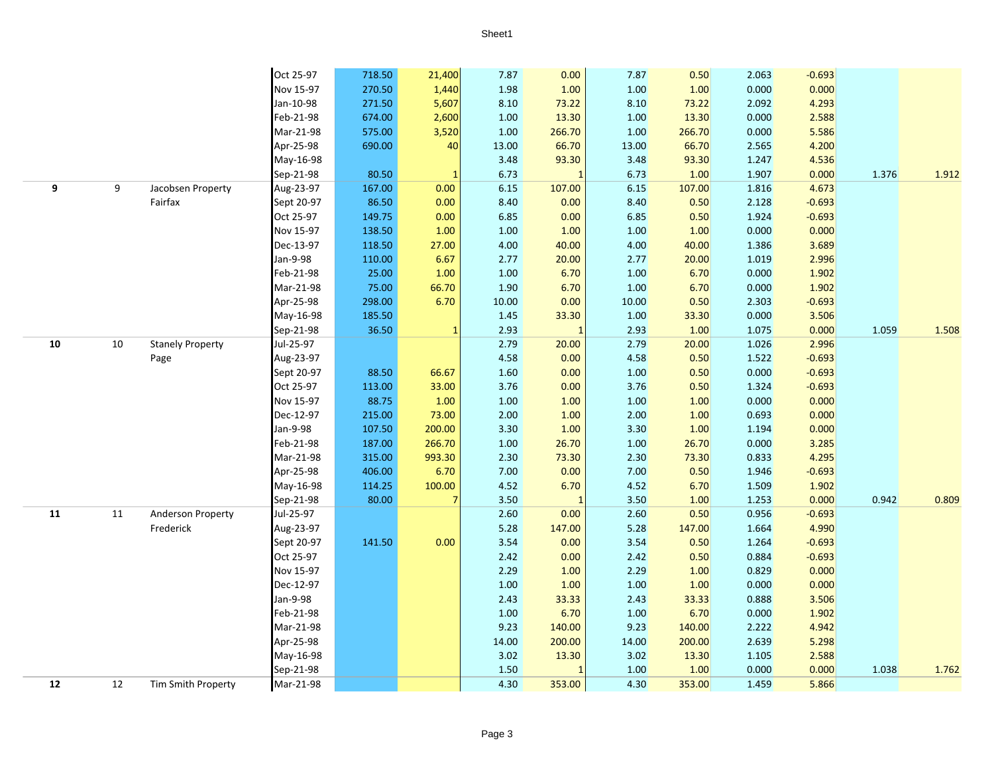|            |        |                         | Oct 25-97  | 718.50 | 21,400 | 7.87  | 0.00           | 7.87  | 0.50   | 2.063 | $-0.693$ |       |       |
|------------|--------|-------------------------|------------|--------|--------|-------|----------------|-------|--------|-------|----------|-------|-------|
|            |        |                         | Nov 15-97  | 270.50 | 1,440  | 1.98  | 1.00           | 1.00  | 1.00   | 0.000 | 0.000    |       |       |
|            |        |                         | Jan-10-98  | 271.50 | 5,607  | 8.10  | 73.22          | 8.10  | 73.22  | 2.092 | 4.293    |       |       |
|            |        |                         | Feb-21-98  | 674.00 | 2,600  | 1.00  | 13.30          | 1.00  | 13.30  | 0.000 | 2.588    |       |       |
|            |        |                         | Mar-21-98  | 575.00 | 3,520  | 1.00  | 266.70         | 1.00  | 266.70 | 0.000 | 5.586    |       |       |
|            |        |                         | Apr-25-98  | 690.00 | 40     | 13.00 | 66.70          | 13.00 | 66.70  | 2.565 | 4.200    |       |       |
|            |        |                         | May-16-98  |        |        | 3.48  | 93.30          | 3.48  | 93.30  | 1.247 | 4.536    |       |       |
|            |        |                         | Sep-21-98  | 80.50  |        | 6.73  | $\mathbf{1}$   | 6.73  | 1.00   | 1.907 | 0.000    | 1.376 | 1.912 |
| 9          | 9      | Jacobsen Property       | Aug-23-97  | 167.00 | 0.00   | 6.15  | 107.00         | 6.15  | 107.00 | 1.816 | 4.673    |       |       |
|            |        | Fairfax                 | Sept 20-97 | 86.50  | 0.00   | 8.40  | 0.00           | 8.40  | 0.50   | 2.128 | $-0.693$ |       |       |
|            |        |                         | Oct 25-97  | 149.75 | 0.00   | 6.85  | 0.00           | 6.85  | 0.50   | 1.924 | $-0.693$ |       |       |
|            |        |                         | Nov 15-97  | 138.50 | 1.00   | 1.00  | 1.00           | 1.00  | 1.00   | 0.000 | 0.000    |       |       |
|            |        |                         | Dec-13-97  | 118.50 | 27.00  | 4.00  | 40.00          | 4.00  | 40.00  | 1.386 | 3.689    |       |       |
|            |        |                         | Jan-9-98   | 110.00 | 6.67   | 2.77  | 20.00          | 2.77  | 20.00  | 1.019 | 2.996    |       |       |
|            |        |                         | Feb-21-98  | 25.00  | 1.00   | 1.00  | 6.70           | 1.00  | 6.70   | 0.000 | 1.902    |       |       |
|            |        |                         | Mar-21-98  | 75.00  | 66.70  | 1.90  | 6.70           | 1.00  | 6.70   | 0.000 | 1.902    |       |       |
|            |        |                         | Apr-25-98  | 298.00 | 6.70   | 10.00 | 0.00           | 10.00 | 0.50   | 2.303 | $-0.693$ |       |       |
|            |        |                         | May-16-98  | 185.50 |        | 1.45  | 33.30          | 1.00  | 33.30  | 0.000 | 3.506    |       |       |
|            |        |                         | Sep-21-98  | 36.50  | 1      | 2.93  | $\overline{1}$ | 2.93  | 1.00   | 1.075 | 0.000    | 1.059 | 1.508 |
| 10         | $10\,$ | <b>Stanely Property</b> | Jul-25-97  |        |        | 2.79  | 20.00          | 2.79  | 20.00  | 1.026 | 2.996    |       |       |
|            |        | Page                    | Aug-23-97  |        |        | 4.58  | 0.00           | 4.58  | 0.50   | 1.522 | $-0.693$ |       |       |
|            |        |                         | Sept 20-97 | 88.50  | 66.67  | 1.60  | 0.00           | 1.00  | 0.50   | 0.000 | $-0.693$ |       |       |
|            |        |                         | Oct 25-97  | 113.00 | 33.00  | 3.76  | 0.00           | 3.76  | 0.50   | 1.324 | $-0.693$ |       |       |
|            |        |                         | Nov 15-97  | 88.75  | 1.00   | 1.00  | 1.00           | 1.00  | 1.00   | 0.000 | 0.000    |       |       |
|            |        |                         | Dec-12-97  | 215.00 | 73.00  | 2.00  | 1.00           | 2.00  | 1.00   | 0.693 | 0.000    |       |       |
|            |        |                         | Jan-9-98   | 107.50 | 200.00 | 3.30  | 1.00           | 3.30  | 1.00   | 1.194 | 0.000    |       |       |
|            |        |                         | Feb-21-98  | 187.00 | 266.70 | 1.00  | 26.70          | 1.00  | 26.70  | 0.000 | 3.285    |       |       |
|            |        |                         | Mar-21-98  | 315.00 | 993.30 | 2.30  | 73.30          | 2.30  | 73.30  | 0.833 | 4.295    |       |       |
|            |        |                         | Apr-25-98  | 406.00 | 6.70   | 7.00  | 0.00           | 7.00  | 0.50   | 1.946 | $-0.693$ |       |       |
|            |        |                         | May-16-98  | 114.25 | 100.00 | 4.52  | 6.70           | 4.52  | 6.70   | 1.509 | 1.902    |       |       |
|            |        |                         | Sep-21-98  | 80.00  |        | 3.50  |                | 3.50  | 1.00   | 1.253 | 0.000    | 0.942 | 0.809 |
| ${\bf 11}$ | 11     | Anderson Property       | Jul-25-97  |        |        | 2.60  | 0.00           | 2.60  | 0.50   | 0.956 | $-0.693$ |       |       |
|            |        | Frederick               | Aug-23-97  |        |        | 5.28  | 147.00         | 5.28  | 147.00 | 1.664 | 4.990    |       |       |
|            |        |                         | Sept 20-97 | 141.50 | 0.00   | 3.54  | 0.00           | 3.54  | 0.50   | 1.264 | $-0.693$ |       |       |
|            |        |                         | Oct 25-97  |        |        | 2.42  | 0.00           | 2.42  | 0.50   | 0.884 | $-0.693$ |       |       |
|            |        |                         | Nov 15-97  |        |        | 2.29  | $1.00\,$       | 2.29  | 1.00   | 0.829 | 0.000    |       |       |
|            |        |                         | Dec-12-97  |        |        | 1.00  | 1.00           | 1.00  | 1.00   | 0.000 | 0.000    |       |       |
|            |        |                         | Jan-9-98   |        |        | 2.43  | 33.33          | 2.43  | 33.33  | 0.888 | 3.506    |       |       |
|            |        |                         | Feb-21-98  |        |        | 1.00  | 6.70           | 1.00  | 6.70   | 0.000 | 1.902    |       |       |
|            |        |                         | Mar-21-98  |        |        | 9.23  | 140.00         | 9.23  | 140.00 | 2.222 | 4.942    |       |       |
|            |        |                         | Apr-25-98  |        |        | 14.00 | 200.00         | 14.00 | 200.00 | 2.639 | 5.298    |       |       |
|            |        |                         | May-16-98  |        |        | 3.02  | 13.30          | 3.02  | 13.30  | 1.105 | 2.588    |       |       |
|            |        |                         | Sep-21-98  |        |        | 1.50  |                | 1.00  | 1.00   | 0.000 | 0.000    | 1.038 | 1.762 |
| 12         | 12     | Tim Smith Property      | Mar-21-98  |        |        | 4.30  | 353.00         | 4.30  | 353.00 | 1.459 | 5.866    |       |       |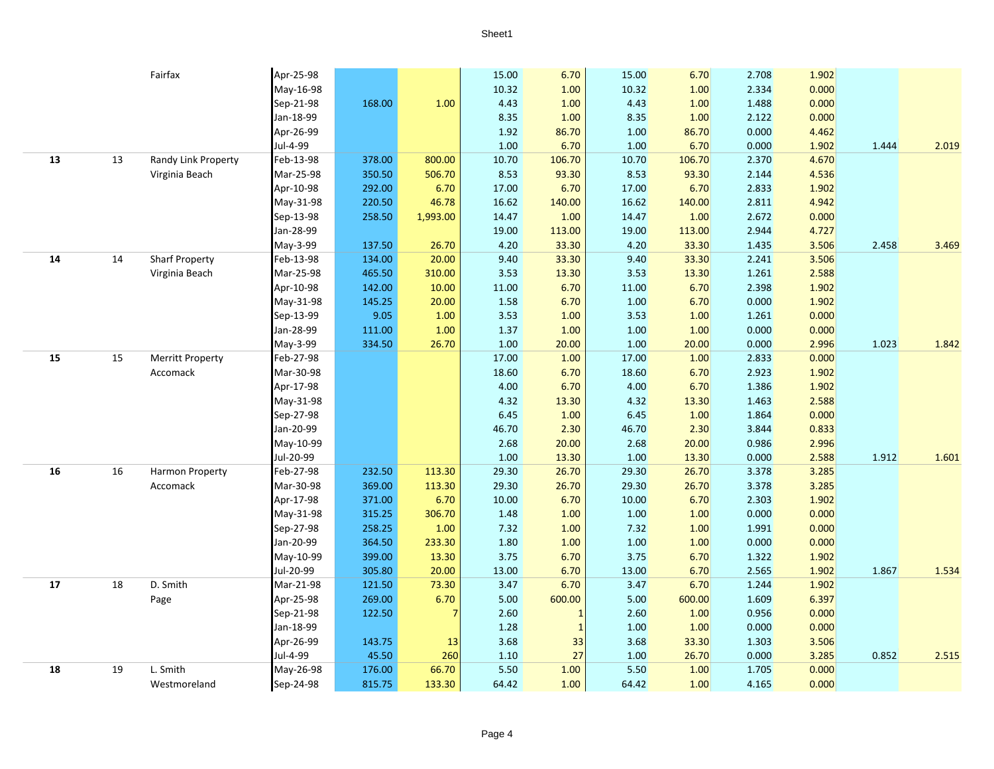|    |    | Fairfax                 | Apr-25-98 |        |          | 15.00    | 6.70           | 15.00 | 6.70   | 2.708 | 1.902 |       |       |
|----|----|-------------------------|-----------|--------|----------|----------|----------------|-------|--------|-------|-------|-------|-------|
|    |    |                         | May-16-98 |        |          | 10.32    | 1.00           | 10.32 | 1.00   | 2.334 | 0.000 |       |       |
|    |    |                         | Sep-21-98 | 168.00 | 1.00     | 4.43     | 1.00           | 4.43  | 1.00   | 1.488 | 0.000 |       |       |
|    |    |                         | Jan-18-99 |        |          | 8.35     | 1.00           | 8.35  | 1.00   | 2.122 | 0.000 |       |       |
|    |    |                         | Apr-26-99 |        |          | 1.92     | 86.70          | 1.00  | 86.70  | 0.000 | 4.462 |       |       |
|    |    |                         | Jul-4-99  |        |          | $1.00\,$ | 6.70           | 1.00  | 6.70   | 0.000 | 1.902 | 1.444 | 2.019 |
| 13 | 13 | Randy Link Property     | Feb-13-98 | 378.00 | 800.00   | 10.70    | 106.70         | 10.70 | 106.70 | 2.370 | 4.670 |       |       |
|    |    | Virginia Beach          | Mar-25-98 | 350.50 | 506.70   | 8.53     | 93.30          | 8.53  | 93.30  | 2.144 | 4.536 |       |       |
|    |    |                         | Apr-10-98 | 292.00 | 6.70     | 17.00    | 6.70           | 17.00 | 6.70   | 2.833 | 1.902 |       |       |
|    |    |                         | May-31-98 | 220.50 | 46.78    | 16.62    | 140.00         | 16.62 | 140.00 | 2.811 | 4.942 |       |       |
|    |    |                         | Sep-13-98 | 258.50 | 1,993.00 | 14.47    | 1.00           | 14.47 | 1.00   | 2.672 | 0.000 |       |       |
|    |    |                         | Jan-28-99 |        |          | 19.00    | 113.00         | 19.00 | 113.00 | 2.944 | 4.727 |       |       |
|    |    |                         | May-3-99  | 137.50 | 26.70    | 4.20     | 33.30          | 4.20  | 33.30  | 1.435 | 3.506 | 2.458 | 3.469 |
| 14 | 14 | <b>Sharf Property</b>   | Feb-13-98 | 134.00 | 20.00    | 9.40     | 33.30          | 9.40  | 33.30  | 2.241 | 3.506 |       |       |
|    |    | Virginia Beach          | Mar-25-98 | 465.50 | 310.00   | 3.53     | 13.30          | 3.53  | 13.30  | 1.261 | 2.588 |       |       |
|    |    |                         | Apr-10-98 | 142.00 | 10.00    | 11.00    | 6.70           | 11.00 | 6.70   | 2.398 | 1.902 |       |       |
|    |    |                         | May-31-98 | 145.25 | 20.00    | 1.58     | 6.70           | 1.00  | 6.70   | 0.000 | 1.902 |       |       |
|    |    |                         | Sep-13-99 | 9.05   | 1.00     | 3.53     | 1.00           | 3.53  | 1.00   | 1.261 | 0.000 |       |       |
|    |    |                         | Jan-28-99 | 111.00 | 1.00     | 1.37     | 1.00           | 1.00  | 1.00   | 0.000 | 0.000 |       |       |
|    |    |                         | May-3-99  | 334.50 | 26.70    | 1.00     | 20.00          | 1.00  | 20.00  | 0.000 | 2.996 | 1.023 | 1.842 |
| 15 | 15 | <b>Merritt Property</b> | Feb-27-98 |        |          | 17.00    | 1.00           | 17.00 | 1.00   | 2.833 | 0.000 |       |       |
|    |    | Accomack                | Mar-30-98 |        |          | 18.60    | 6.70           | 18.60 | 6.70   | 2.923 | 1.902 |       |       |
|    |    |                         | Apr-17-98 |        |          | 4.00     | 6.70           | 4.00  | 6.70   | 1.386 | 1.902 |       |       |
|    |    |                         | May-31-98 |        |          | 4.32     | 13.30          | 4.32  | 13.30  | 1.463 | 2.588 |       |       |
|    |    |                         | Sep-27-98 |        |          | 6.45     | 1.00           | 6.45  | 1.00   | 1.864 | 0.000 |       |       |
|    |    |                         | Jan-20-99 |        |          | 46.70    | 2.30           | 46.70 | 2.30   | 3.844 | 0.833 |       |       |
|    |    |                         | May-10-99 |        |          | 2.68     | 20.00          | 2.68  | 20.00  | 0.986 | 2.996 |       |       |
|    |    |                         | Jul-20-99 |        |          | 1.00     | 13.30          | 1.00  | 13.30  | 0.000 | 2.588 | 1.912 | 1.601 |
| 16 | 16 | <b>Harmon Property</b>  | Feb-27-98 | 232.50 | 113.30   | 29.30    | 26.70          | 29.30 | 26.70  | 3.378 | 3.285 |       |       |
|    |    | Accomack                | Mar-30-98 | 369.00 | 113.30   | 29.30    | 26.70          | 29.30 | 26.70  | 3.378 | 3.285 |       |       |
|    |    |                         | Apr-17-98 | 371.00 | 6.70     | 10.00    | 6.70           | 10.00 | 6.70   | 2.303 | 1.902 |       |       |
|    |    |                         | May-31-98 | 315.25 | 306.70   | 1.48     | 1.00           | 1.00  | 1.00   | 0.000 | 0.000 |       |       |
|    |    |                         | Sep-27-98 | 258.25 | 1.00     | 7.32     | 1.00           | 7.32  | 1.00   | 1.991 | 0.000 |       |       |
|    |    |                         | Jan-20-99 | 364.50 | 233.30   | 1.80     | 1.00           | 1.00  | 1.00   | 0.000 | 0.000 |       |       |
|    |    |                         | May-10-99 | 399.00 | 13.30    | 3.75     | 6.70           | 3.75  | 6.70   | 1.322 | 1.902 |       |       |
|    |    |                         | Jul-20-99 | 305.80 | 20.00    | 13.00    | 6.70           | 13.00 | 6.70   | 2.565 | 1.902 | 1.867 | 1.534 |
| 17 | 18 | D. Smith                | Mar-21-98 | 121.50 | 73.30    | 3.47     | 6.70           | 3.47  | 6.70   | 1.244 | 1.902 |       |       |
|    |    | Page                    | Apr-25-98 | 269.00 | 6.70     | 5.00     | 600.00         | 5.00  | 600.00 | 1.609 | 6.397 |       |       |
|    |    |                         | Sep-21-98 | 122.50 | 7        | 2.60     | $\overline{1}$ | 2.60  | 1.00   | 0.956 | 0.000 |       |       |
|    |    |                         | Jan-18-99 |        |          | 1.28     | $\mathbf{1}$   | 1.00  | 1.00   | 0.000 | 0.000 |       |       |
|    |    |                         | Apr-26-99 | 143.75 | 13       | 3.68     | 33             | 3.68  | 33.30  | 1.303 | 3.506 |       |       |
|    |    |                         | Jul-4-99  | 45.50  | 260      | 1.10     | 27             | 1.00  | 26.70  | 0.000 | 3.285 | 0.852 | 2.515 |
| 18 | 19 | L. Smith                | May-26-98 | 176.00 | 66.70    | 5.50     | 1.00           | 5.50  | 1.00   | 1.705 | 0.000 |       |       |
|    |    | Westmoreland            | Sep-24-98 | 815.75 | 133.30   | 64.42    | 1.00           | 64.42 | 1.00   | 4.165 | 0.000 |       |       |